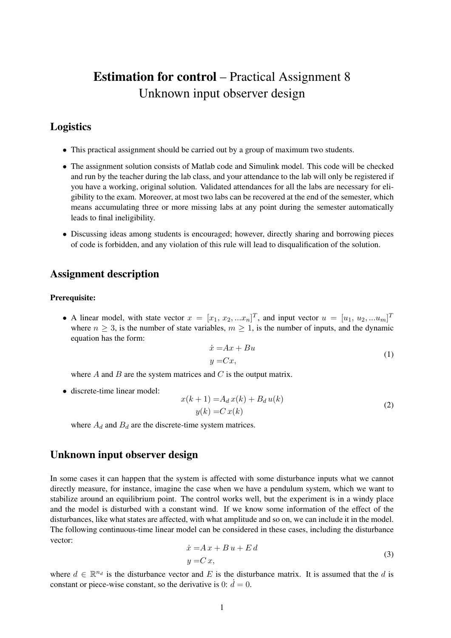# Estimation for control – Practical Assignment 8 Unknown input observer design

# Logistics

- This practical assignment should be carried out by a group of maximum two students.
- The assignment solution consists of Matlab code and Simulink model. This code will be checked and run by the teacher during the lab class, and your attendance to the lab will only be registered if you have a working, original solution. Validated attendances for all the labs are necessary for eligibility to the exam. Moreover, at most two labs can be recovered at the end of the semester, which means accumulating three or more missing labs at any point during the semester automatically leads to final ineligibility.
- Discussing ideas among students is encouraged; however, directly sharing and borrowing pieces of code is forbidden, and any violation of this rule will lead to disqualification of the solution.

## Assignment description

#### Prerequisite:

• A linear model, with state vector  $x = [x_1, x_2, ... x_n]^T$ , and input vector  $u = [u_1, u_2, ... u_m]^T$ where  $n \geq 3$ , is the number of state variables,  $m \geq 1$ , is the number of inputs, and the dynamic equation has the form:

$$
\begin{aligned}\n\dot{x} &= Ax + Bu \\
y &= Cx,\n\end{aligned}\n\tag{1}
$$

where  $A$  and  $B$  are the system matrices and  $C$  is the output matrix.

• discrete-time linear model:

$$
x(k+1) = A_d x(k) + B_d u(k)
$$
  

$$
y(k) = C x(k)
$$
 (2)

where  $A_d$  and  $B_d$  are the discrete-time system matrices.

## Unknown input observer design

In some cases it can happen that the system is affected with some disturbance inputs what we cannot directly measure, for instance, imagine the case when we have a pendulum system, which we want to stabilize around an equilibrium point. The control works well, but the experiment is in a windy place and the model is disturbed with a constant wind. If we know some information of the effect of the disturbances, like what states are affected, with what amplitude and so on, we can include it in the model. The following continuous-time linear model can be considered in these cases, including the disturbance vector:

<span id="page-0-0"></span>
$$
\begin{aligned} \n\dot{x} &= A \, x + B \, u + E \, d \\ \ny &= C \, x, \n\end{aligned} \tag{3}
$$

where  $d \in \mathbb{R}^{n_d}$  is the disturbance vector and E is the disturbance matrix. It is assumed that the d is constant or piece-wise constant, so the derivative is 0:  $\dot{d} = 0$ .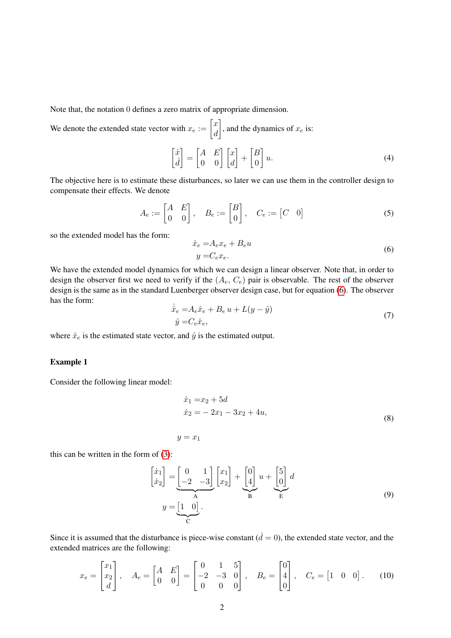Note that, the notation 0 defines a zero matrix of appropriate dimension.

We denote the extended state vector with  $x_e := \begin{bmatrix} x \\ d \end{bmatrix}$ d , and the dynamics of  $x_e$  is:  $\lceil \dot{x} \rceil$  $\dot{d}$  $\begin{bmatrix} A & E \\ 0 & 0 \end{bmatrix} \begin{bmatrix} x \\ d \end{bmatrix}$  $-\left[\begin{matrix} B \\ C \end{matrix}\right]$ 0 1  $u.$  (4)

The objective here is to estimate these disturbances, so later we can use them in the controller design to compensate their effects. We denote

$$
A_e := \begin{bmatrix} A & E \\ 0 & 0 \end{bmatrix}, \quad B_e := \begin{bmatrix} B \\ 0 \end{bmatrix}, \quad C_e := \begin{bmatrix} C & 0 \end{bmatrix} \tag{5}
$$

so the extended model has the form:

<span id="page-1-0"></span>
$$
\begin{aligned} \n\dot{x}_e &= A_e x_e + B_e u \\ \ny &= C_e x_e. \n\end{aligned} \tag{6}
$$

We have the extended model dynamics for which we can design a linear observer. Note that, in order to design the observer first we need to verify if the  $(A_e, C_e)$  pair is observable. The rest of the observer design is the same as in the standard Luenberger observer design case, but for equation [\(6\)](#page-1-0). The observer has the form:

$$
\dot{\hat{x}}_e = A_e \hat{x}_e + B_e u + L(y - \hat{y})
$$
  

$$
\hat{y} = C_e \hat{x}_e,
$$
 (7)

where  $\hat{x}_e$  is the estimated state vector, and  $\hat{y}$  is the estimated output.

## Example 1

Consider the following linear model:

$$
\begin{aligned}\n\dot{x}_1 &= x_2 + 5d \\
\dot{x}_2 &= -2x_1 - 3x_2 + 4u,\n\end{aligned}\n\tag{8}
$$

 $y = x_1$ 

this can be written in the form of [\(3\)](#page-0-0):

$$
\begin{bmatrix} \dot{x}_1 \\ \dot{x}_2 \end{bmatrix} = \underbrace{\begin{bmatrix} 0 & 1 \\ -2 & -3 \end{bmatrix}}_{\mathbf{A}} \begin{bmatrix} x_1 \\ x_2 \end{bmatrix} + \underbrace{\begin{bmatrix} 0 \\ 4 \end{bmatrix}}_{\mathbf{B}} u + \underbrace{\begin{bmatrix} 5 \\ 0 \end{bmatrix}}_{\mathbf{E}} d
$$
\n
$$
y = \underbrace{\begin{bmatrix} 1 & 0 \end{bmatrix}}_{\mathbf{C}}.
$$
\n(9)

Since it is assumed that the disturbance is piece-wise constant  $(d = 0)$ , the extended state vector, and the extended matrices are the following:

$$
x_e = \begin{bmatrix} x_1 \\ x_2 \\ d \end{bmatrix}, \quad A_e = \begin{bmatrix} A & E \\ 0 & 0 \end{bmatrix} = \begin{bmatrix} 0 & 1 & 5 \\ -2 & -3 & 0 \\ 0 & 0 & 0 \end{bmatrix}, \quad B_e = \begin{bmatrix} 0 \\ 4 \\ 0 \end{bmatrix}, \quad C_e = \begin{bmatrix} 1 & 0 & 0 \end{bmatrix}. \tag{10}
$$